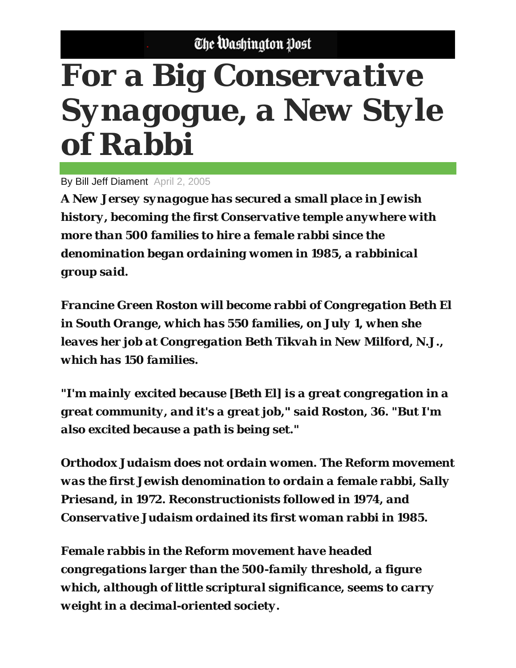## **For a Big Conservative** Synagogue, a New Style of Rabbi

By Bill Jeff Diament April 2, 2005

A New Jersey synagogue has secured a small place in Jewish history, becoming the first Conservative temple anywhere with more than 500 families to hire a female rabbi since the denomination began ordaining women in 1985, a rabbinical group said.

**Francine Green Roston will become rabbi of Congregation Beth El** in South Orange, which has 550 families, on July 1, when she leaves her job at Congregation Beth Tikvah in New Milford, N.J., which has 150 families.

"I'm mainly excited because [Beth El] is a great congregation in a great community, and it's a great job," said Roston, 36. "But I'm also excited because a path is being set."

Orthodox Judaism does not ordain women. The Reform movement was the first Jewish denomination to ordain a female rabbi, Sally Priesand, in 1972. Reconstructionists followed in 1974, and **Conservative Judaism ordained its first woman rabbi in 1985.** 

**Female rabbis in the Reform movement have headed** congregations larger than the 500-family threshold, a figure which, although of little scriptural significance, seems to carry weight in a decimal-oriented society.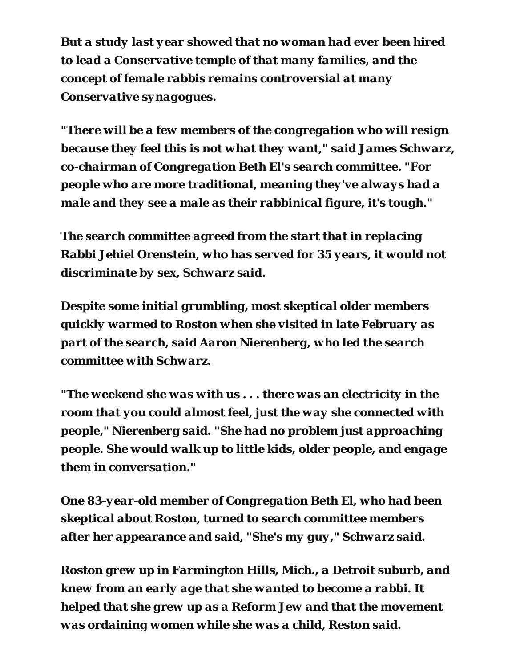*But a study last year showed that no woman had ever been hired to lead a Conservative temple of that many families, and the concept of female rabbis remains controversial at many Conservative synagogues.* 

*"There will be a few members of the congregation who will resign because they feel this is not what they want," said James Schwarz, co-chairman of Congregation Beth El's search committee. "For people who are more traditional, meaning they've always had a male and they see a male as their rabbinical figure, it's tough."* 

*The search committee agreed from the start that in replacing Rabbi Jehiel Orenstein, who has served for 35 years, it would not discriminate by sex, Schwarz said.* 

*Despite some initial grumbling, most skeptical older members quickly warmed to Roston when she visited in late February as part of the search, said Aaron Nierenberg, who led the search committee with Schwarz.* 

*"The weekend she was with us . . . there was an electricity in the room that you could almost feel, just the way she connected with people," Nierenberg said. "She had no problem just approaching people. She would walk up to little kids, older people, and engage them in conversation."* 

*One 83-year-old member of Congregation Beth El, who had been skeptical about Roston, turned to search committee members after her appearance and said, "She's my guy," Schwarz said.* 

*Roston grew up in Farmington Hills, Mich., a Detroit suburb, and knew from an early age that she wanted to become a rabbi. It helped that she grew up as a Reform Jew and that the movement was ordaining women while she was a child, Reston said.*